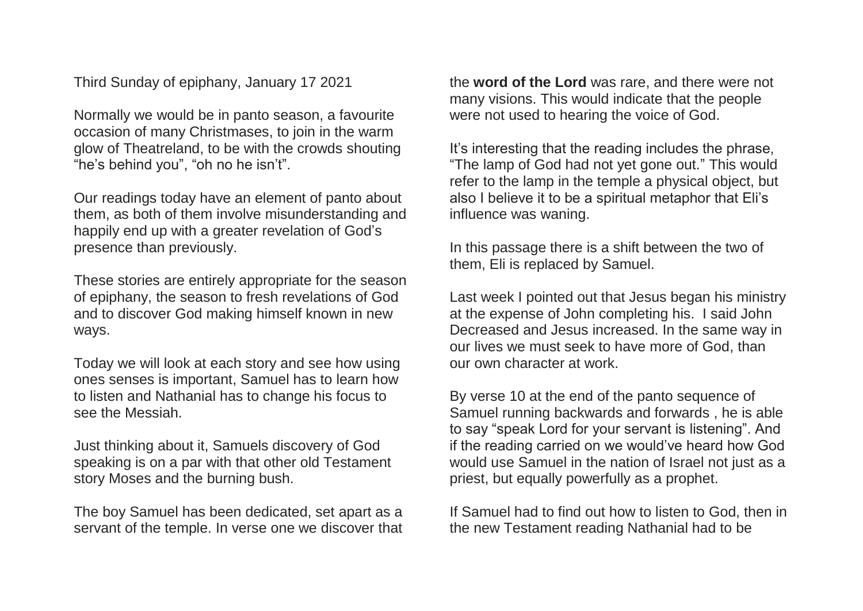Third Sunday of epiphany, January 17 2021

Normally we would be in panto season, a favourite occasion of many Christmases, to join in the warm glow of Theatreland, to be with the crowds shouting "he's behind you", "oh no he isn't".

Our readings today have an element of panto about them, as both of them involve misunderstanding and happily end up with a greater revelation of God's presence than previously.

These stories are entirely appropriate for the season of epiphany, the season to fresh revelations of God and to discover God making himself known in new ways.

Today we will look at each story and see how using ones senses is important, Samuel has to learn how to listen and Nathanial has to change his focus to see the Messiah.

Just thinking about it, Samuels discovery of God speaking is on a par with that other old Testament story Moses and the burning bush.

The boy Samuel has been dedicated, set apart as a servant of the temple. In verse one we discover that the **word of the Lord** was rare, and there were not many visions. This would indicate that the people were not used to hearing the voice of God.

It's interesting that the reading includes the phrase, "The lamp of God had not yet gone out." This would refer to the lamp in the temple a physical object, but also I believe it to be a spiritual metaphor that Eli's influence was waning.

In this passage there is a shift between the two of them, Eli is replaced by Samuel.

Last week I pointed out that Jesus began his ministry at the expense of John completing his. I said John Decreased and Jesus increased. In the same way in our lives we must seek to have more of God, than our own character at work.

By verse 10 at the end of the panto sequence of Samuel running backwards and forwards , he is able to say "speak Lord for your servant is listening". And if the reading carried on we would've heard how God would use Samuel in the nation of Israel not just as a priest, but equally powerfully as a prophet.

If Samuel had to find out how to listen to God, then in the new Testament reading Nathanial had to be